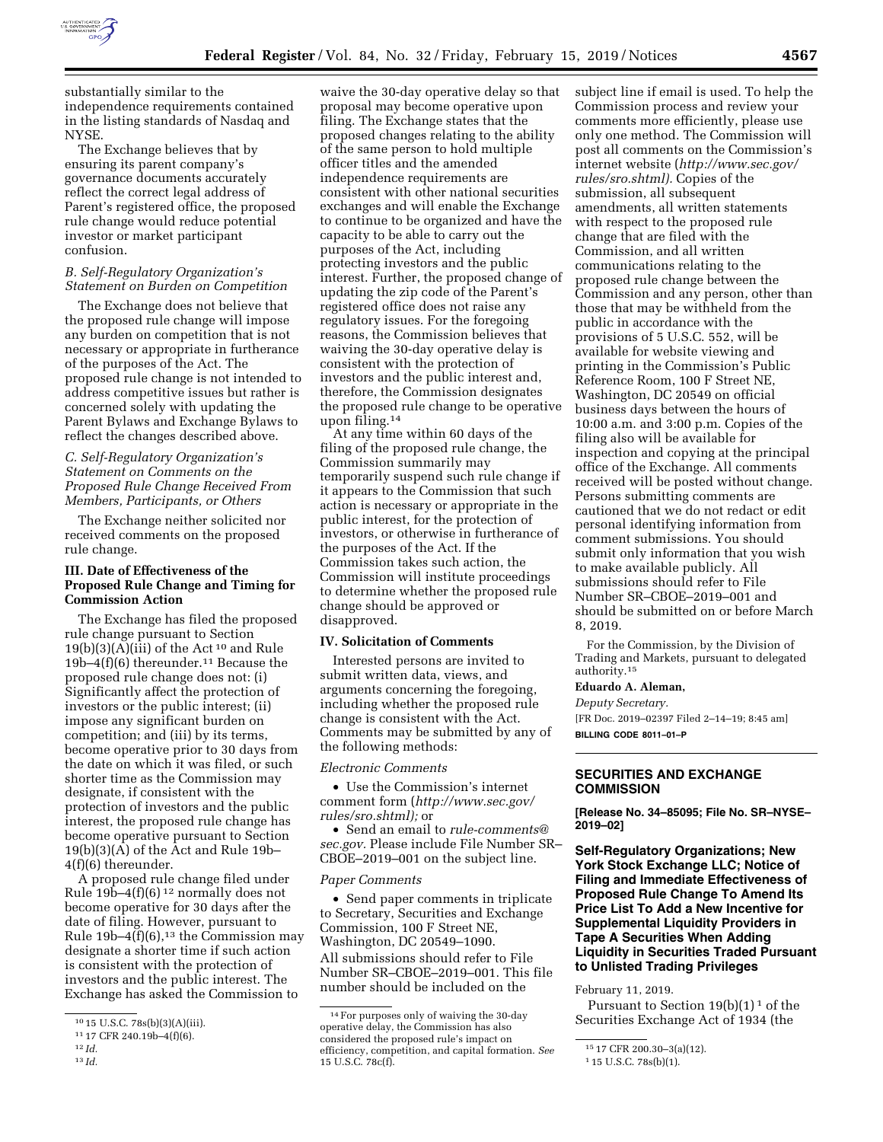

substantially similar to the independence requirements contained in the listing standards of Nasdaq and **NYSE** 

The Exchange believes that by ensuring its parent company's governance documents accurately reflect the correct legal address of Parent's registered office, the proposed rule change would reduce potential investor or market participant confusion.

### *B. Self-Regulatory Organization's Statement on Burden on Competition*

The Exchange does not believe that the proposed rule change will impose any burden on competition that is not necessary or appropriate in furtherance of the purposes of the Act. The proposed rule change is not intended to address competitive issues but rather is concerned solely with updating the Parent Bylaws and Exchange Bylaws to reflect the changes described above.

## *C. Self-Regulatory Organization's Statement on Comments on the Proposed Rule Change Received From Members, Participants, or Others*

The Exchange neither solicited nor received comments on the proposed rule change.

# **III. Date of Effectiveness of the Proposed Rule Change and Timing for Commission Action**

The Exchange has filed the proposed rule change pursuant to Section  $19(b)(3)(A)(iii)$  of the Act<sup>10</sup> and Rule 19b–4(f)(6) thereunder.11 Because the proposed rule change does not: (i) Significantly affect the protection of investors or the public interest; (ii) impose any significant burden on competition; and (iii) by its terms, become operative prior to 30 days from the date on which it was filed, or such shorter time as the Commission may designate, if consistent with the protection of investors and the public interest, the proposed rule change has become operative pursuant to Section  $19(b)(3)(\overline{A})$  of the Act and Rule 19b-4(f)(6) thereunder.

A proposed rule change filed under Rule  $19b-4(f)(6)^{12}$  normally does not become operative for 30 days after the date of filing. However, pursuant to Rule  $19b-4(f)(6)$ ,<sup>13</sup> the Commission may designate a shorter time if such action is consistent with the protection of investors and the public interest. The Exchange has asked the Commission to

13 *Id.* 

waive the 30-day operative delay so that proposal may become operative upon filing. The Exchange states that the proposed changes relating to the ability of the same person to hold multiple officer titles and the amended independence requirements are consistent with other national securities exchanges and will enable the Exchange to continue to be organized and have the capacity to be able to carry out the purposes of the Act, including protecting investors and the public interest. Further, the proposed change of updating the zip code of the Parent's registered office does not raise any regulatory issues. For the foregoing reasons, the Commission believes that waiving the 30-day operative delay is consistent with the protection of investors and the public interest and, therefore, the Commission designates the proposed rule change to be operative upon filing.14

At any time within 60 days of the filing of the proposed rule change, the Commission summarily may temporarily suspend such rule change if it appears to the Commission that such action is necessary or appropriate in the public interest, for the protection of investors, or otherwise in furtherance of the purposes of the Act. If the Commission takes such action, the Commission will institute proceedings to determine whether the proposed rule change should be approved or disapproved.

#### **IV. Solicitation of Comments**

Interested persons are invited to submit written data, views, and arguments concerning the foregoing, including whether the proposed rule change is consistent with the Act. Comments may be submitted by any of the following methods:

#### *Electronic Comments*

• Use the Commission's internet comment form (*[http://www.sec.gov/](http://www.sec.gov/rules/sro.shtml)  [rules/sro.shtml\);](http://www.sec.gov/rules/sro.shtml)* or

• Send an email to *[rule-comments@](mailto:rule-comments@sec.gov) [sec.gov.](mailto:rule-comments@sec.gov)* Please include File Number SR– CBOE–2019–001 on the subject line.

#### *Paper Comments*

• Send paper comments in triplicate to Secretary, Securities and Exchange Commission, 100 F Street NE, Washington, DC 20549–1090. All submissions should refer to File Number SR–CBOE–2019–001. This file number should be included on the

subject line if email is used. To help the Commission process and review your comments more efficiently, please use only one method. The Commission will post all comments on the Commission's internet website (*[http://www.sec.gov/](http://www.sec.gov/rules/sro.shtml)  [rules/sro.shtml\).](http://www.sec.gov/rules/sro.shtml)* Copies of the submission, all subsequent amendments, all written statements with respect to the proposed rule change that are filed with the Commission, and all written communications relating to the proposed rule change between the Commission and any person, other than those that may be withheld from the public in accordance with the provisions of 5 U.S.C. 552, will be available for website viewing and printing in the Commission's Public Reference Room, 100 F Street NE, Washington, DC 20549 on official business days between the hours of 10:00 a.m. and 3:00 p.m. Copies of the filing also will be available for inspection and copying at the principal office of the Exchange. All comments received will be posted without change. Persons submitting comments are cautioned that we do not redact or edit personal identifying information from comment submissions. You should submit only information that you wish to make available publicly. All submissions should refer to File Number SR–CBOE–2019–001 and should be submitted on or before March 8, 2019.

For the Commission, by the Division of Trading and Markets, pursuant to delegated authority.15

## **Eduardo A. Aleman,**

*Deputy Secretary.*  [FR Doc. 2019–02397 Filed 2–14–19; 8:45 am]

**BILLING CODE 8011–01–P** 

# **SECURITIES AND EXCHANGE COMMISSION**

**[Release No. 34–85095; File No. SR–NYSE– 2019–02]** 

**Self-Regulatory Organizations; New York Stock Exchange LLC; Notice of Filing and Immediate Effectiveness of Proposed Rule Change To Amend Its Price List To Add a New Incentive for Supplemental Liquidity Providers in Tape A Securities When Adding Liquidity in Securities Traded Pursuant to Unlisted Trading Privileges** 

February 11, 2019.

Pursuant to Section  $19(b)(1)^1$  of the Securities Exchange Act of 1934 (the

<sup>10</sup> 15 U.S.C. 78s(b)(3)(A)(iii).

<sup>11</sup> 17 CFR 240.19b–4(f)(6).

<sup>12</sup> *Id.* 

<sup>14</sup>For purposes only of waiving the 30-day operative delay, the Commission has also considered the proposed rule's impact on efficiency, competition, and capital formation. *See*  15 U.S.C. 78c(f).

<sup>15</sup> 17 CFR 200.30–3(a)(12).

<sup>1</sup> 15 U.S.C. 78s(b)(1).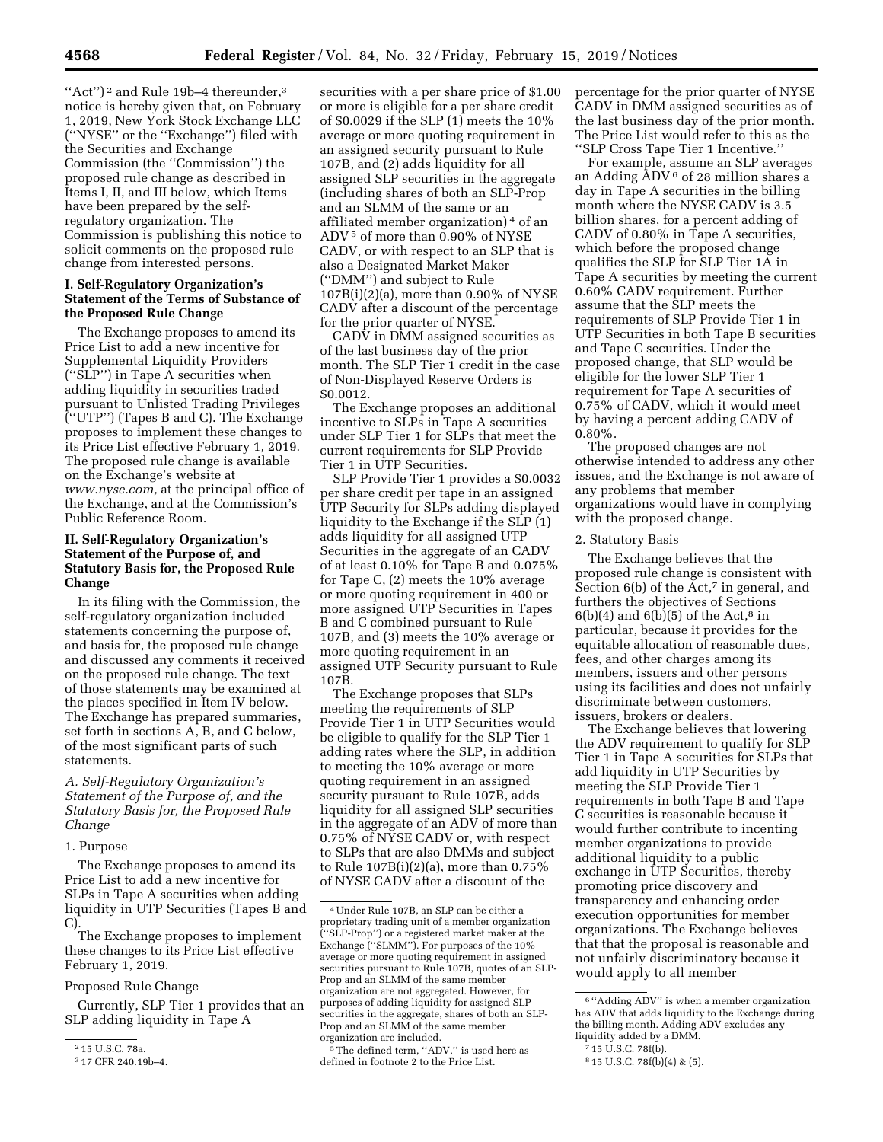"Act")<sup>2</sup> and Rule 19b–4 thereunder,<sup>3</sup> notice is hereby given that, on February 1, 2019, New York Stock Exchange LLC (''NYSE'' or the ''Exchange'') filed with the Securities and Exchange Commission (the ''Commission'') the proposed rule change as described in Items I, II, and III below, which Items have been prepared by the selfregulatory organization. The Commission is publishing this notice to solicit comments on the proposed rule change from interested persons.

# **I. Self-Regulatory Organization's Statement of the Terms of Substance of the Proposed Rule Change**

The Exchange proposes to amend its Price List to add a new incentive for Supplemental Liquidity Providers (''SLP'') in Tape A securities when adding liquidity in securities traded pursuant to Unlisted Trading Privileges (''UTP'') (Tapes B and C). The Exchange proposes to implement these changes to its Price List effective February 1, 2019. The proposed rule change is available on the Exchange's website at *[www.nyse.com,](http://www.nyse.com)* at the principal office of the Exchange, and at the Commission's Public Reference Room.

# **II. Self-Regulatory Organization's Statement of the Purpose of, and Statutory Basis for, the Proposed Rule Change**

In its filing with the Commission, the self-regulatory organization included statements concerning the purpose of, and basis for, the proposed rule change and discussed any comments it received on the proposed rule change. The text of those statements may be examined at the places specified in Item IV below. The Exchange has prepared summaries, set forth in sections A, B, and C below, of the most significant parts of such statements.

# *A. Self-Regulatory Organization's Statement of the Purpose of, and the Statutory Basis for, the Proposed Rule Change*

#### 1. Purpose

The Exchange proposes to amend its Price List to add a new incentive for SLPs in Tape A securities when adding liquidity in UTP Securities (Tapes B and C).

The Exchange proposes to implement these changes to its Price List effective February 1, 2019.

### Proposed Rule Change

Currently, SLP Tier 1 provides that an SLP adding liquidity in Tape A

securities with a per share price of \$1.00 or more is eligible for a per share credit of \$0.0029 if the SLP (1) meets the 10% average or more quoting requirement in an assigned security pursuant to Rule 107B, and (2) adds liquidity for all assigned SLP securities in the aggregate (including shares of both an SLP-Prop and an SLMM of the same or an affiliated member organization) 4 of an ADV 5 of more than 0.90% of NYSE CADV, or with respect to an SLP that is also a Designated Market Maker (''DMM'') and subject to Rule 107B(i)(2)(a), more than 0.90% of NYSE CADV after a discount of the percentage for the prior quarter of NYSE.

CADV in DMM assigned securities as of the last business day of the prior month. The SLP Tier 1 credit in the case of Non-Displayed Reserve Orders is \$0.0012.

The Exchange proposes an additional incentive to SLPs in Tape A securities under SLP Tier 1 for SLPs that meet the current requirements for SLP Provide Tier 1 in UTP Securities.

SLP Provide Tier 1 provides a \$0.0032 per share credit per tape in an assigned UTP Security for SLPs adding displayed liquidity to the Exchange if the SLP (1) adds liquidity for all assigned UTP Securities in the aggregate of an CADV of at least 0.10% for Tape B and 0.075% for Tape C, (2) meets the 10% average or more quoting requirement in 400 or more assigned UTP Securities in Tapes B and C combined pursuant to Rule 107B, and (3) meets the 10% average or more quoting requirement in an assigned UTP Security pursuant to Rule 107B.

The Exchange proposes that SLPs meeting the requirements of SLP Provide Tier 1 in UTP Securities would be eligible to qualify for the SLP Tier 1 adding rates where the SLP, in addition to meeting the 10% average or more quoting requirement in an assigned security pursuant to Rule 107B, adds liquidity for all assigned SLP securities in the aggregate of an ADV of more than 0.75% of NYSE CADV or, with respect to SLPs that are also DMMs and subject to Rule 107B(i)(2)(a), more than 0.75% of NYSE CADV after a discount of the

 $^{\rm 5}\!$  The defined term, ''ADV,'' is used here as defined in footnote 2 to the Price List.

percentage for the prior quarter of NYSE CADV in DMM assigned securities as of the last business day of the prior month. The Price List would refer to this as the ''SLP Cross Tape Tier 1 Incentive.''

For example, assume an SLP averages an Adding ADV 6 of 28 million shares a day in Tape A securities in the billing month where the NYSE CADV is 3.5 billion shares, for a percent adding of CADV of 0.80% in Tape A securities, which before the proposed change qualifies the SLP for SLP Tier 1A in Tape A securities by meeting the current 0.60% CADV requirement. Further assume that the SLP meets the requirements of SLP Provide Tier 1 in UTP Securities in both Tape B securities and Tape C securities. Under the proposed change, that SLP would be eligible for the lower SLP Tier 1 requirement for Tape A securities of 0.75% of CADV, which it would meet by having a percent adding CADV of 0.80%.

The proposed changes are not otherwise intended to address any other issues, and the Exchange is not aware of any problems that member organizations would have in complying with the proposed change.

### 2. Statutory Basis

The Exchange believes that the proposed rule change is consistent with Section 6(b) of the  $\tilde{A}ct$ ,<sup>7</sup> in general, and furthers the objectives of Sections  $6(b)(4)$  and  $6(b)(5)$  of the Act,<sup>8</sup> in particular, because it provides for the equitable allocation of reasonable dues, fees, and other charges among its members, issuers and other persons using its facilities and does not unfairly discriminate between customers, issuers, brokers or dealers.

The Exchange believes that lowering the ADV requirement to qualify for SLP Tier 1 in Tape A securities for SLPs that add liquidity in UTP Securities by meeting the SLP Provide Tier 1 requirements in both Tape B and Tape C securities is reasonable because it would further contribute to incenting member organizations to provide additional liquidity to a public exchange in UTP Securities, thereby promoting price discovery and transparency and enhancing order execution opportunities for member organizations. The Exchange believes that that the proposal is reasonable and not unfairly discriminatory because it would apply to all member

<sup>2</sup> 15 U.S.C. 78a.

<sup>3</sup> 17 CFR 240.19b–4.

<sup>4</sup>Under Rule 107B, an SLP can be either a proprietary trading unit of a member organization (''SLP-Prop'') or a registered market maker at the Exchange (''SLMM''). For purposes of the 10% average or more quoting requirement in assigned securities pursuant to Rule 107B, quotes of an SLP-Prop and an SLMM of the same member organization are not aggregated. However, for purposes of adding liquidity for assigned SLP securities in the aggregate, shares of both an SLP-Prop and an SLMM of the same member organization are included.

<sup>6</sup> ''Adding ADV'' is when a member organization has ADV that adds liquidity to the Exchange during the billing month. Adding ADV excludes any liquidity added by a DMM.

<sup>7</sup> 15 U.S.C. 78f(b).

<sup>8</sup> 15 U.S.C. 78f(b)(4) & (5).